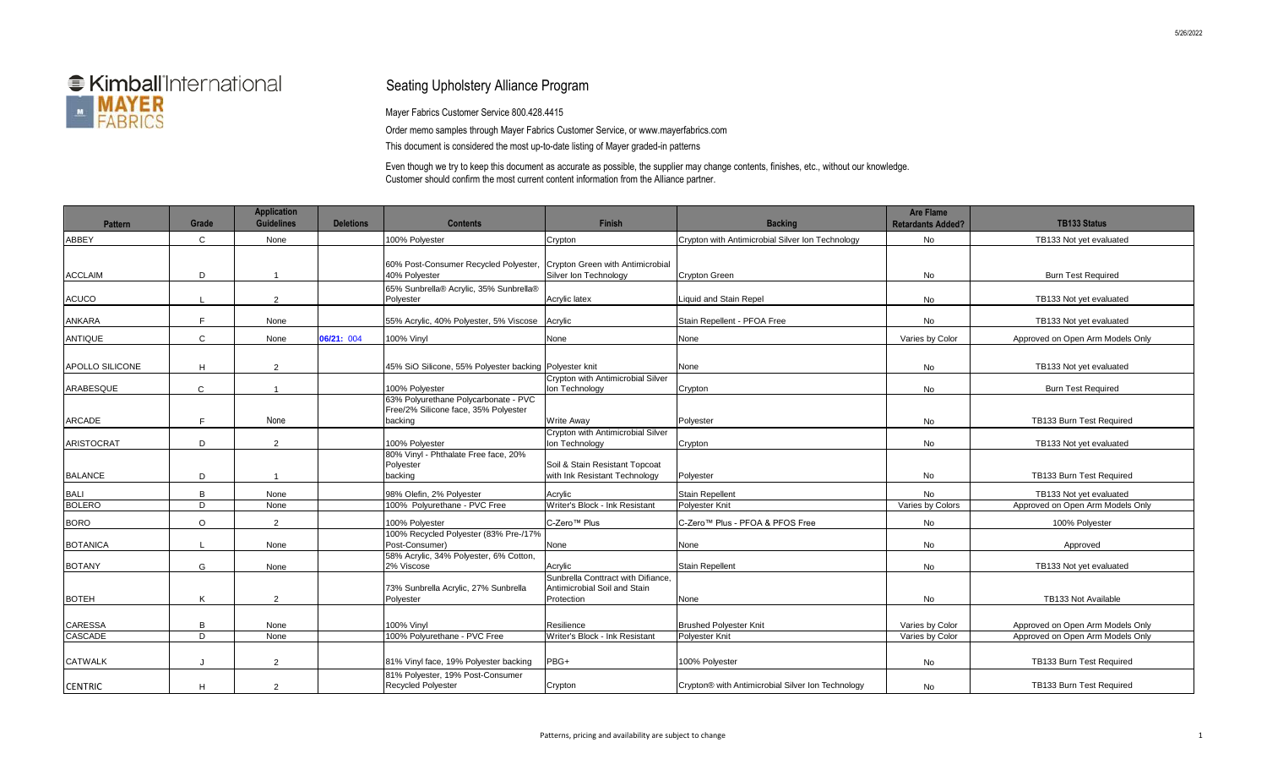

## Seating Upholstery Alliance Program

Mayer Fabrics Customer Service 800.428.4415

Order memo samples through Mayer Fabrics Customer Service, or www.mayerfabrics.com This document is considered the most up-to-date listing of Mayer graded-in patterns

Even though we try to keep this document as accurate as possible, the supplier may change contents, finishes, etc., without our knowledge. Customer should confirm the most current content information from the Alliance partner.

| <b>Pattern</b>         | Grade          | <b>Application</b><br><b>Guidelines</b> | <b>Deletions</b> | <b>Contents</b>                                                                         | <b>Finish</b>                                                                    | <b>Backing</b>                                    | <b>Are Flame</b><br><b>Retardants Added?</b> | <b>TB133 Status</b>              |
|------------------------|----------------|-----------------------------------------|------------------|-----------------------------------------------------------------------------------------|----------------------------------------------------------------------------------|---------------------------------------------------|----------------------------------------------|----------------------------------|
| <b>ABBEY</b>           | $\mathsf{C}$   | None                                    |                  | 100% Polyester                                                                          | Crypton                                                                          | Crypton with Antimicrobial Silver Ion Technology  | No                                           | TB133 Not yet evaluated          |
| <b>ACCLAIM</b>         | D              | $\mathbf{1}$                            |                  | 60% Post-Consumer Recycled Polyester, Crypton Green with Antimicrobial<br>40% Polyester | Silver Ion Technology                                                            | <b>Crypton Green</b>                              | No                                           | <b>Burn Test Required</b>        |
| <b>ACUCO</b>           |                | 2                                       |                  | 65% Sunbrella® Acrylic, 35% Sunbrella®<br>Polyester                                     | Acrylic latex                                                                    | <b>Liquid and Stain Repel</b>                     | No                                           | TB133 Not yet evaluated          |
| <b>ANKARA</b>          | F.             | None                                    |                  | 55% Acrylic, 40% Polyester, 5% Viscose Acrylic                                          |                                                                                  | Stain Repellent - PFOA Free                       | No                                           | TB133 Not yet evaluated          |
| <b>ANTIQUE</b>         | $\mathsf{C}$   | None                                    | 06/21: 004       | 100% Vinyl                                                                              | None                                                                             | None                                              | Varies by Color                              | Approved on Open Arm Models Only |
| <b>APOLLO SILICONE</b> | H              | 2                                       |                  | 45% SiO Silicone, 55% Polyester backing Polyester knit                                  |                                                                                  | None                                              | No                                           | TB133 Not yet evaluated          |
| ARABESQUE              | $\mathsf{C}$   | $\overline{1}$                          |                  | 100% Polvester                                                                          | Crypton with Antimicrobial Silver<br>Ion Technology                              | Crypton                                           | No                                           | <b>Burn Test Required</b>        |
| <b>ARCADE</b>          | F              | None                                    |                  | 63% Polyurethane Polycarbonate - PVC<br>Free/2% Silicone face, 35% Polyester<br>backing | <b>Write Away</b>                                                                | Polyester                                         | <b>No</b>                                    | TB133 Burn Test Required         |
| <b>ARISTOCRAT</b>      | D              | 2                                       |                  | 100% Polyester                                                                          | Crypton with Antimicrobial Silver<br>Ion Technology                              | Crypton                                           | No                                           | TB133 Not yet evaluated          |
| <b>BALANCE</b>         | D              | $\overline{1}$                          |                  | 80% Vinyl - Phthalate Free face, 20%<br>Polyester<br>backing                            | Soil & Stain Resistant Topcoat<br>with Ink Resistant Technology                  | Polyester                                         | No                                           | <b>TB133 Burn Test Required</b>  |
| <b>BALI</b>            | B              | None                                    |                  | 98% Olefin, 2% Polyester                                                                | Acrylic                                                                          | <b>Stain Repellent</b>                            | <b>No</b>                                    | TB133 Not yet evaluated          |
| <b>BOLERO</b>          | D              | None                                    |                  | 100% Polyurethane - PVC Free                                                            | Writer's Block - Ink Resistant                                                   | Polyester Knit                                    | Varies by Colors                             | Approved on Open Arm Models Only |
| <b>BORO</b>            | $\Omega$       | 2                                       |                  | 100% Polvester                                                                          | C-Zero <sup>™</sup> Plus                                                         | C-Zero™ Plus - PFOA & PFOS Free                   | No                                           | 100% Polyester                   |
| <b>BOTANICA</b>        |                | None                                    |                  | 100% Recycled Polyester (83% Pre-/17%<br>Post-Consumer)                                 | None                                                                             | None                                              | No                                           | Approved                         |
| <b>BOTANY</b>          | G              | None                                    |                  | 58% Acrylic, 34% Polyester, 6% Cotton,<br>2% Viscose                                    | Acrylic                                                                          | <b>Stain Repellent</b>                            | No                                           | TB133 Not yet evaluated          |
| <b>BOTEH</b>           | K              | 2                                       |                  | 73% Sunbrella Acrylic, 27% Sunbrella<br>Polyester                                       | Sunbrella Conttract with Difiance.<br>Antimicrobial Soil and Stain<br>Protection | None                                              | No                                           | TB133 Not Available              |
| <b>CARESSA</b>         | B              | None                                    |                  | <b>100% Vinyl</b>                                                                       | Resilience                                                                       | <b>Brushed Polyester Knit</b>                     | Varies by Color                              | Approved on Open Arm Models Only |
| <b>CASCADE</b>         | $\overline{D}$ | None                                    |                  | 100% Polyurethane - PVC Free                                                            | Writer's Block - Ink Resistant                                                   | Polyester Knit                                    | Varies by Color                              | Approved on Open Arm Models Only |
| <b>CATWALK</b>         |                | 2                                       |                  | 81% Vinyl face, 19% Polyester backing                                                   | PBG+                                                                             | 100% Polyester                                    | No                                           | TB133 Burn Test Required         |
| <b>CENTRIC</b>         | H              | 2                                       |                  | 81% Polyester, 19% Post-Consumer<br><b>Recycled Polyester</b>                           | Crypton                                                                          | Crypton® with Antimicrobial Silver Ion Technology | No                                           | TB133 Burn Test Required         |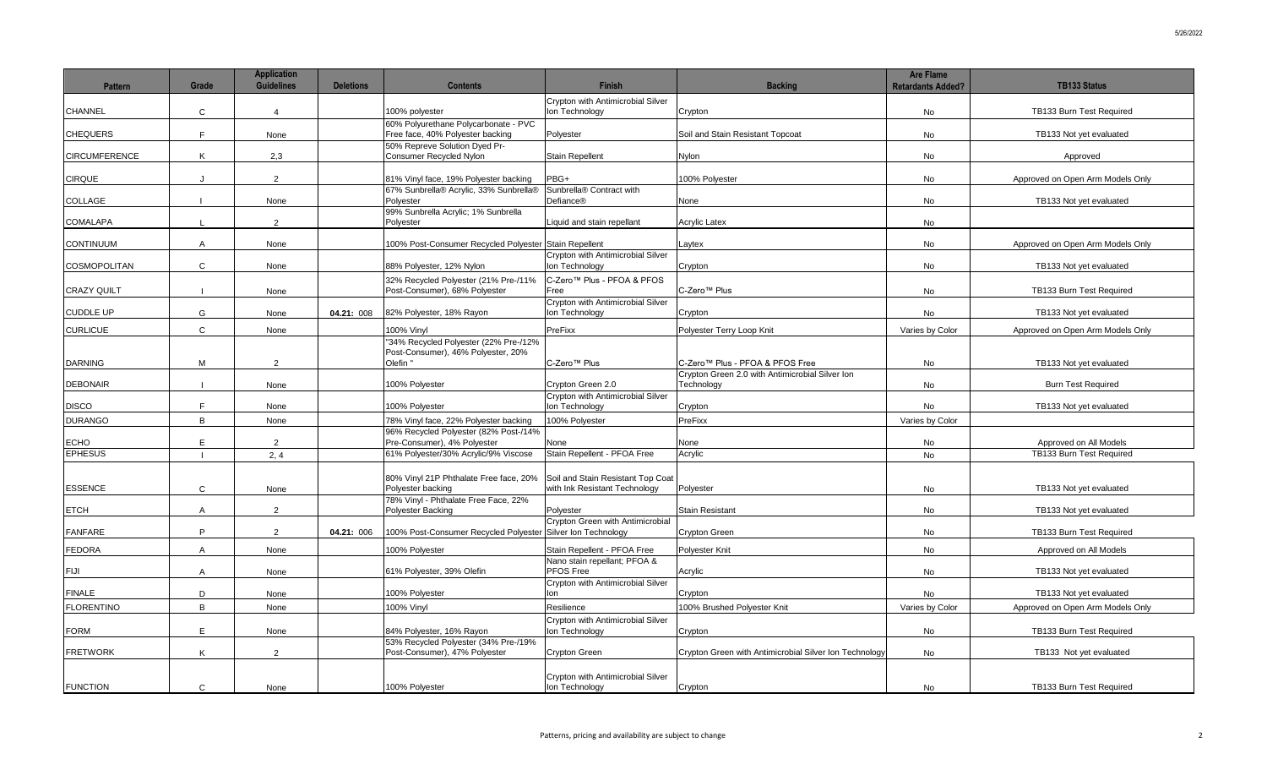| <b>Pattern</b>       | Grade          | <b>Application</b><br><b>Guidelines</b> | <b>Deletions</b> | <b>Contents</b>                                                                         | <b>Finish</b>                                                      | <b>Backing</b>                                                | <b>Are Flame</b><br><b>Retardants Added?</b> | <b>TB133 Status</b>              |
|----------------------|----------------|-----------------------------------------|------------------|-----------------------------------------------------------------------------------------|--------------------------------------------------------------------|---------------------------------------------------------------|----------------------------------------------|----------------------------------|
| <b>CHANNEL</b>       | $\mathsf{C}$   | $\overline{4}$                          |                  | 100% polyester                                                                          | Crypton with Antimicrobial Silver<br>Ion Technology                | Crypton                                                       | No.                                          | TB133 Burn Test Required         |
| <b>CHEQUERS</b>      | F              | None                                    |                  | 60% Polyurethane Polycarbonate - PVC<br>Free face, 40% Polyester backing                | Polyester                                                          | Soil and Stain Resistant Topcoat                              | No                                           | TB133 Not yet evaluated          |
| <b>CIRCUMFERENCE</b> | Κ              | 2,3                                     |                  | 50% Repreve Solution Dyed Pr-<br>Consumer Recycled Nylon                                | <b>Stain Repellent</b>                                             | Nylon                                                         | No                                           | Approved                         |
| <b>CIRQUE</b>        | $\cdot$        | 2                                       |                  | 81% Vinyl face, 19% Polyester backing                                                   | PBG+                                                               | 100% Polyester                                                | No.                                          | Approved on Open Arm Models Only |
| <b>COLLAGE</b>       |                | None                                    |                  | 67% Sunbrella® Acrylic, 33% Sunbrella®<br>Polyester                                     | Sunbrella® Contract with<br>Defiance®                              | None                                                          | <b>No</b>                                    | TB133 Not yet evaluated          |
| <b>COMALAPA</b>      | $\mathsf{L}$   | 2                                       |                  | 99% Sunbrella Acrylic; 1% Sunbrella<br>Polyester                                        | Liquid and stain repellant                                         | <b>Acrylic Latex</b>                                          | No                                           |                                  |
| <b>CONTINUUM</b>     | $\mathsf{A}$   | None                                    |                  | 100% Post-Consumer Recycled Polyester Stain Repellent                                   |                                                                    | Laytex                                                        | No                                           | Approved on Open Arm Models Only |
| <b>COSMOPOLITAN</b>  | $\mathsf{C}$   | None                                    |                  | 88% Polyester, 12% Nylon                                                                | Crypton with Antimicrobial Silver<br>Ion Technology                | Crypton                                                       | No                                           | TB133 Not yet evaluated          |
| <b>CRAZY QUILT</b>   |                | None                                    |                  | 32% Recycled Polyester (21% Pre-/11%<br>Post-Consumer), 68% Polyester                   | C-Zero™ Plus - PFOA & PFOS<br>Free                                 | C-Zero <sup>™</sup> Plus                                      | No                                           | TB133 Burn Test Required         |
| <b>CUDDLE UP</b>     | G              | None                                    | 04.21: 008       | 82% Polyester, 18% Rayon                                                                | Crypton with Antimicrobial Silver<br>Ion Technology                | Crypton                                                       | No                                           | TB133 Not yet evaluated          |
| <b>CURLICUE</b>      | $\mathsf{C}$   | None                                    |                  | 100% Vinyl                                                                              | PreFixx                                                            | Polyester Terry Loop Knit                                     | Varies by Color                              | Approved on Open Arm Models Only |
| <b>DARNING</b>       | M              | 2                                       |                  | '34% Recycled Polyester (22% Pre-/12%<br>Post-Consumer), 46% Polyester, 20%<br>Olefin " | C-Zero <sup>™</sup> Plus                                           | C-Zero™ Plus - PFOA & PFOS Free                               | No                                           | TB133 Not yet evaluated          |
| <b>DEBONAIR</b>      |                |                                         |                  | 100% Polyester                                                                          | Crypton Green 2.0                                                  | Crypton Green 2.0 with Antimicrobial Silver Ion<br>Technology | No                                           | <b>Burn Test Required</b>        |
| <b>DISCO</b>         | F              | None<br>None                            |                  | 100% Polyester                                                                          | Crypton with Antimicrobial Silver<br>Ion Technology                | Crypton                                                       | No                                           | TB133 Not yet evaluated          |
| <b>DURANGO</b>       | $\mathsf{B}$   | None                                    |                  | 78% Vinyl face, 22% Polyester backing                                                   | 100% Polyester                                                     | PreFixx                                                       | Varies by Color                              |                                  |
| <b>ECHO</b>          | E              | 2                                       |                  | 96% Recycled Polyester (82% Post-/14%<br>Pre-Consumer), 4% Polyester                    | None                                                               | None                                                          | No                                           | Approved on All Models           |
| <b>EPHESUS</b>       |                | 2, 4                                    |                  | 61% Polyester/30% Acrylic/9% Viscose                                                    | Stain Repellent - PFOA Free                                        | Acrylic                                                       | No                                           | TB133 Burn Test Required         |
| <b>ESSENCE</b>       | $\mathsf{C}$   | None                                    |                  | 80% Vinyl 21P Phthalate Free face, 20%<br>Polyester backing                             | Soil and Stain Resistant Top Coat<br>with Ink Resistant Technology | Polyester                                                     | No                                           | TB133 Not yet evaluated          |
| <b>ETCH</b>          | $\overline{A}$ | 2                                       |                  | 78% Vinyl - Phthalate Free Face, 22%<br>Polyester Backing                               | Polyester                                                          | <b>Stain Resistant</b>                                        | No                                           | TB133 Not yet evaluated          |
| <b>FANFARE</b>       | P              | 2                                       | 04.21: 006       | 100% Post-Consumer Recycled Polyester Silver Ion Technology                             | Crypton Green with Antimicrobial                                   | <b>Crypton Green</b>                                          | No                                           | TB133 Burn Test Required         |
| <b>FEDORA</b>        | $\overline{A}$ | None                                    |                  | 100% Polyester                                                                          | Stain Repellent - PFOA Free                                        | Polyester Knit                                                | No                                           | Approved on All Models           |
| <b>FIJI</b>          | $\mathsf{A}$   | None                                    |                  | 61% Polyester, 39% Olefin                                                               | Nano stain repellant; PFOA &<br>PFOS Free                          | Acrylic                                                       | No                                           | TB133 Not yet evaluated          |
| <b>FINALE</b>        | D              | None                                    |                  | 100% Polyester                                                                          | Crypton with Antimicrobial Silver<br>lon                           | Crypton                                                       | No                                           | TB133 Not yet evaluated          |
| <b>FLORENTINO</b>    | B              | None                                    |                  | 100% Vinvl                                                                              | Resilience                                                         | 100% Brushed Polvester Knit                                   | Varies by Color                              | Approved on Open Arm Models Only |
| <b>FORM</b>          | E.             | None                                    |                  | 84% Polyester, 16% Rayon                                                                | Crypton with Antimicrobial Silver<br>Ion Technology                | Crypton                                                       | No                                           | TB133 Burn Test Required         |
| <b>FRETWORK</b>      | K              | 2                                       |                  | 53% Recycled Polyester (34% Pre-/19%<br>Post-Consumer), 47% Polyester                   | Crypton Green                                                      | Crypton Green with Antimicrobial Silver Ion Technology        | <b>No</b>                                    | TB133 Not yet evaluated          |
| <b>FUNCTION</b>      | $\mathbf{C}$   | None                                    |                  | 100% Polyester                                                                          | Crypton with Antimicrobial Silver<br>Ion Technology                | Crypton                                                       | No                                           | TB133 Burn Test Required         |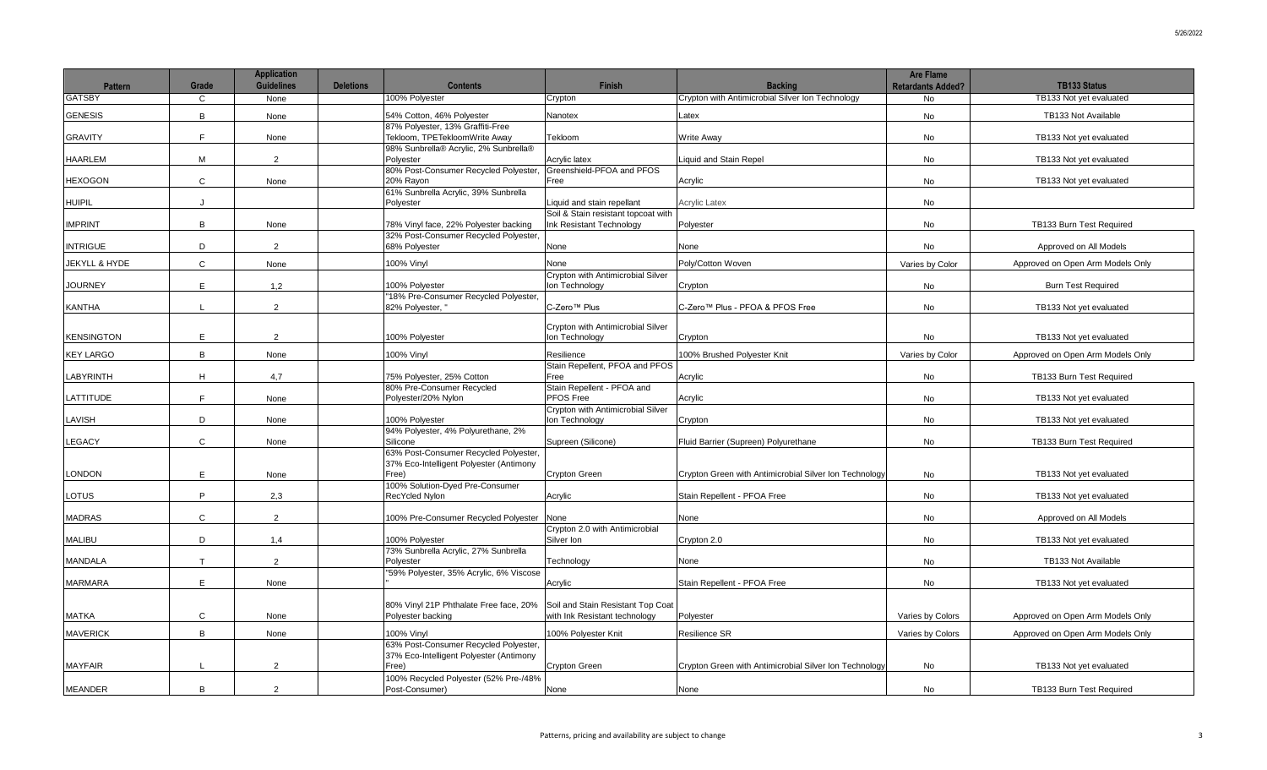| <b>Pattern</b>           | Grade        | <b>Application</b><br><b>Guidelines</b> | <b>Deletions</b> | <b>Contents</b>                                                                           | <b>Finish</b>                                                      | <b>Backing</b>                                         | <b>Are Flame</b><br><b>Retardants Added?</b> | <b>TB133 Status</b>              |
|--------------------------|--------------|-----------------------------------------|------------------|-------------------------------------------------------------------------------------------|--------------------------------------------------------------------|--------------------------------------------------------|----------------------------------------------|----------------------------------|
| <b>GATSBY</b>            | C            | None                                    |                  | 100% Polyester                                                                            | Crypton                                                            | Crypton with Antimicrobial Silver Ion Technology       | <b>No</b>                                    | TB133 Not yet evaluated          |
| <b>GENESIS</b>           | B            | None                                    |                  | 54% Cotton, 46% Polyester                                                                 | Nanotex                                                            | Latex                                                  | No                                           | TB133 Not Available              |
| <b>GRAVITY</b>           | E            | None                                    |                  | 87% Polyester, 13% Graffiti-Free<br>Tekloom, TPETekloomWrite Away                         | Tekloom                                                            | <b>Write Away</b>                                      | No                                           | TB133 Not yet evaluated          |
| <b>HAARLEM</b>           | M            | 2                                       |                  | 98% Sunbrella® Acrylic, 2% Sunbrella®<br>Polyester                                        | Acrylic latex                                                      | <b>Liquid and Stain Repel</b>                          | No                                           | TB133 Not vet evaluated          |
| <b>HEXOGON</b>           | $\mathbf{C}$ | None                                    |                  | 80% Post-Consumer Recycled Polyester,<br>20% Rayon                                        | Greenshield-PFOA and PFOS<br>Free                                  | Acrylic                                                | <b>No</b>                                    | TB133 Not yet evaluated          |
| <b>HUIPIL</b>            | J            |                                         |                  | 61% Sunbrella Acrylic, 39% Sunbrella<br>Polyester                                         | Liquid and stain repellant                                         | <b>Acrylic Latex</b>                                   | <b>No</b>                                    |                                  |
| <b>IMPRINT</b>           | B            | None                                    |                  | 78% Vinyl face, 22% Polyester backing                                                     | Soil & Stain resistant topcoat with<br>Ink Resistant Technology    | Polyester                                              | No.                                          | TB133 Burn Test Required         |
| <b>INTRIGUE</b>          | D            | 2                                       |                  | 32% Post-Consumer Recycled Polyester,<br>68% Polyester                                    | None                                                               | None                                                   | No                                           | Approved on All Models           |
| <b>JEKYLL &amp; HYDE</b> | $\mathbf{C}$ | None                                    |                  | 100% Vinyl                                                                                | None                                                               | Poly/Cotton Woven                                      | Varies by Color                              | Approved on Open Arm Models Only |
| <b>JOURNEY</b>           | E            | 1,2                                     |                  | 100% Polyester                                                                            | Crypton with Antimicrobial Silver<br>Ion Technology                | Crypton                                                | No                                           | <b>Burn Test Required</b>        |
| <b>KANTHA</b>            |              | $\overline{2}$                          |                  | "18% Pre-Consumer Recycled Polyester,<br>82% Polyester, "                                 | C-Zero <sup>™</sup> Plus                                           | C-Zero™ Plus - PFOA & PFOS Free                        | No                                           | TB133 Not yet evaluated          |
| <b>KENSINGTON</b>        | E.           | 2                                       |                  | 100% Polyester                                                                            | Crypton with Antimicrobial Silver<br>Ion Technology                | Crypton                                                | No                                           | TB133 Not yet evaluated          |
| <b>KEY LARGO</b>         | $\mathsf{B}$ | None                                    |                  | 100% Vinyl                                                                                | Resilience                                                         | 100% Brushed Polyester Knit                            | Varies by Color                              | Approved on Open Arm Models Only |
| LABYRINTH                | H            | 4,7                                     |                  | 75% Polyester, 25% Cotton                                                                 | Stain Repellent, PFOA and PFOS<br>Free                             | Acrylic                                                | No                                           | TB133 Burn Test Required         |
| LATTITUDE                | E            | None                                    |                  | 80% Pre-Consumer Recycled<br>Polyester/20% Nylon                                          | Stain Repellent - PFOA and<br>PFOS Free                            | Acrylic                                                | No                                           | TB133 Not yet evaluated          |
| LAVISH                   | D            | None                                    |                  | 100% Polyester                                                                            | Crypton with Antimicrobial Silver<br>Ion Technology                | Crypton                                                | <b>No</b>                                    | TB133 Not yet evaluated          |
| LEGACY                   | $\mathbf{C}$ | None                                    |                  | 94% Polyester, 4% Polyurethane, 2%<br>Silicone                                            | Supreen (Silicone)                                                 | Fluid Barrier (Supreen) Polyurethane                   | No                                           | TB133 Burn Test Required         |
| <b>LONDON</b>            | E            | None                                    |                  | 63% Post-Consumer Recycled Polyester,<br>37% Eco-Intelligent Polyester (Antimony<br>Free) | Crypton Green                                                      | Crypton Green with Antimicrobial Silver Ion Technology | No                                           | TB133 Not yet evaluated          |
| LOTUS                    | P            | 2.3                                     |                  | 100% Solution-Dyed Pre-Consumer<br>RecYcled Nylon                                         | Acrylic                                                            | Stain Repellent - PFOA Free                            | <b>No</b>                                    | TB133 Not yet evaluated          |
| <b>MADRAS</b>            | $\mathbf{C}$ | 2                                       |                  | 100% Pre-Consumer Recycled Polyester                                                      | None                                                               | None                                                   | <b>No</b>                                    | Approved on All Models           |
| <b>MALIBU</b>            | D            | 1,4                                     |                  | 100% Polyester                                                                            | Crypton 2.0 with Antimicrobial<br>Silver Ion                       | Crypton 2.0                                            | <b>No</b>                                    | TB133 Not yet evaluated          |
| <b>MANDALA</b>           | T            | 2                                       |                  | 73% Sunbrella Acrylic, 27% Sunbrella<br>Polvester                                         | Technology                                                         | None                                                   | No.                                          | TB133 Not Available              |
| <b>MARMARA</b>           | E            | None                                    |                  | "59% Polyester, 35% Acrylic, 6% Viscose                                                   | Acrylic                                                            | Stain Repellent - PFOA Free                            | <b>No</b>                                    | TB133 Not yet evaluated          |
| <b>MATKA</b>             | $\mathsf{C}$ | None                                    |                  | 80% Vinyl 21P Phthalate Free face, 20%<br>Polyester backing                               | Soil and Stain Resistant Top Coat<br>with Ink Resistant technology | Polyester                                              | Varies by Colors                             | Approved on Open Arm Models Only |
| <b>MAVERICK</b>          | B            | None                                    |                  | 100% Vinyl                                                                                | 100% Polyester Knit                                                | Resilience SR                                          | Varies by Colors                             | Approved on Open Arm Models Only |
| <b>MAYFAIR</b>           |              | $\overline{2}$                          |                  | 63% Post-Consumer Recycled Polyester,<br>37% Eco-Intelligent Polyester (Antimony<br>Free) | Crypton Green                                                      | Crypton Green with Antimicrobial Silver Ion Technology | No                                           | TB133 Not yet evaluated          |
|                          |              |                                         |                  | 100% Recycled Polyester (52% Pre-/48%                                                     |                                                                    |                                                        |                                              |                                  |
| MEANDER                  | B            | $\overline{2}$                          |                  | Post-Consumer)                                                                            | None                                                               | None                                                   | No                                           | TB133 Burn Test Required         |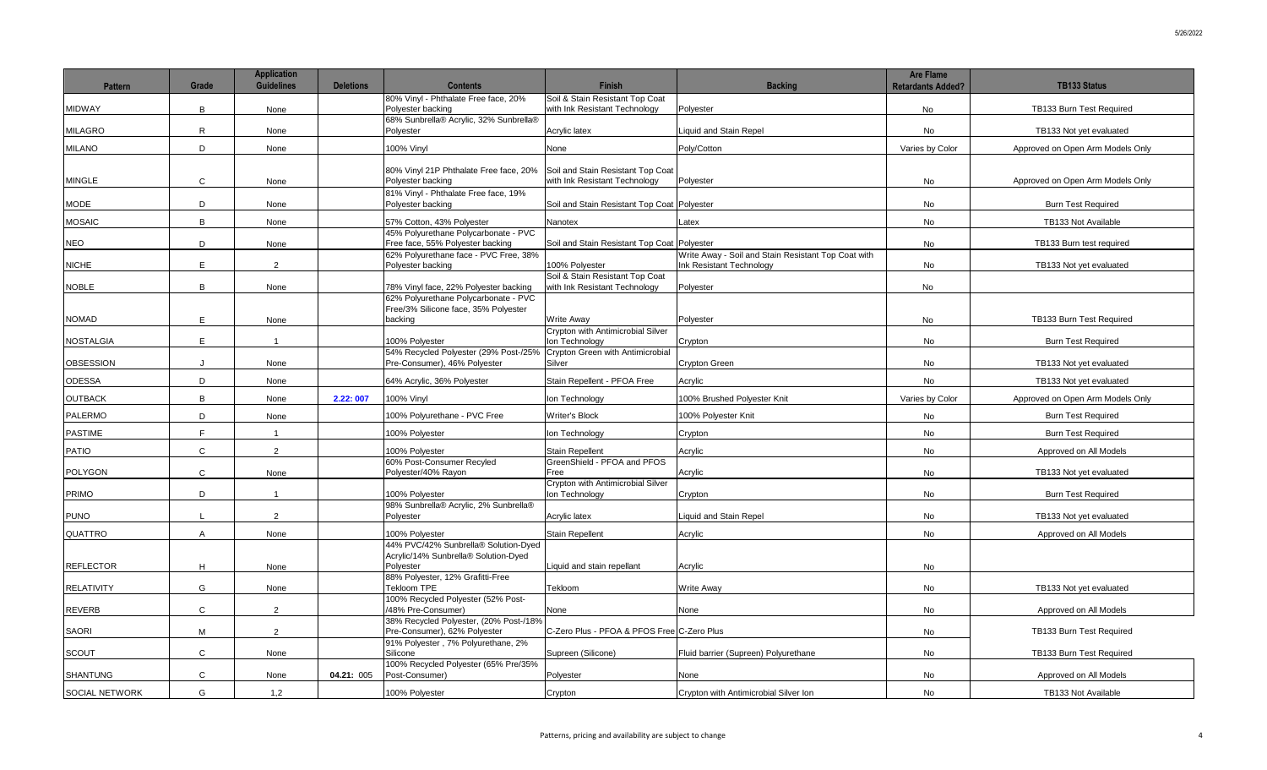| <b>Pattern</b>        | Grade          | <b>Application</b><br><b>Guidelines</b> | <b>Deletions</b> | <b>Contents</b>                                                          | <b>Finish</b>                                                      | <b>Backing</b>                                      | <b>Are Flame</b><br><b>Retardants Added?</b> | <b>TB133 Status</b>              |
|-----------------------|----------------|-----------------------------------------|------------------|--------------------------------------------------------------------------|--------------------------------------------------------------------|-----------------------------------------------------|----------------------------------------------|----------------------------------|
|                       |                |                                         |                  | 80% Vinyl - Phthalate Free face, 20%                                     | Soil & Stain Resistant Top Coat                                    |                                                     |                                              |                                  |
| <b>MIDWAY</b>         | B              | None                                    |                  | Polyester backing                                                        | with Ink Resistant Technology                                      | Polyester                                           | <b>No</b>                                    | TB133 Burn Test Required         |
| <b>MILAGRO</b>        | R              | None                                    |                  | 68% Sunbrella® Acrylic, 32% Sunbrella®<br>Polvester                      | Acrylic latex                                                      | <b>Liquid and Stain Repel</b>                       | <b>No</b>                                    | TB133 Not yet evaluated          |
| <b>MILANO</b>         | D              | None                                    |                  | 100% Vinyl                                                               | None                                                               | Poly/Cotton                                         | Varies by Color                              | Approved on Open Arm Models Only |
|                       |                |                                         |                  |                                                                          |                                                                    |                                                     |                                              |                                  |
| <b>MINGLE</b>         | $\mathsf{C}$   | None                                    |                  | 80% Vinyl 21P Phthalate Free face, 20%<br>Polyester backing              | Soil and Stain Resistant Top Coat<br>with Ink Resistant Technology | Polyester                                           | No                                           | Approved on Open Arm Models Only |
|                       |                |                                         |                  | 81% Vinyl - Phthalate Free face, 19%                                     |                                                                    |                                                     |                                              |                                  |
| MODE                  | D              | None                                    |                  | Polyester backing                                                        | Soil and Stain Resistant Top Coat                                  | Polyester                                           | <b>No</b>                                    | <b>Burn Test Required</b>        |
| MOSAIC                | B              | None                                    |                  | 57% Cotton, 43% Polyester                                                | Nanotex                                                            | Latex                                               | No                                           | TB133 Not Available              |
| <b>NEO</b>            | D              | None                                    |                  | 45% Polyurethane Polycarbonate - PVC<br>Free face, 55% Polyester backing | Soil and Stain Resistant Top Coat Polyester                        |                                                     | No                                           | TB133 Burn test required         |
|                       |                |                                         |                  | 62% Polyurethane face - PVC Free, 38%                                    |                                                                    | Write Away - Soil and Stain Resistant Top Coat with |                                              |                                  |
| <b>NICHE</b>          | E              | $\overline{2}$                          |                  | Polyester backing                                                        | 100% Polyester<br>Soil & Stain Resistant Top Coat                  | Ink Resistant Technology                            | <b>No</b>                                    | TB133 Not yet evaluated          |
| NOBLE                 | $\overline{B}$ | None                                    |                  | 78% Vinyl face, 22% Polyester backing                                    | with Ink Resistant Technology                                      | Polyester                                           | <b>No</b>                                    |                                  |
|                       |                |                                         |                  | 62% Polyurethane Polycarbonate - PVC                                     |                                                                    |                                                     |                                              |                                  |
| NOMAD                 | E              | None                                    |                  | Free/3% Silicone face, 35% Polyester<br>backing                          | <b>Write Away</b>                                                  | Polyester                                           | No                                           | TB133 Burn Test Required         |
|                       |                |                                         |                  |                                                                          | Crypton with Antimicrobial Silver                                  |                                                     |                                              |                                  |
| <b>NOSTALGIA</b>      | E              | $\overline{1}$                          |                  | 100% Polyester                                                           | Ion Technology                                                     | Crypton                                             | No                                           | <b>Burn Test Required</b>        |
| <b>OBSESSION</b>      | $\cdot$        | None                                    |                  | 54% Recycled Polyester (29% Post-/25%<br>Pre-Consumer), 46% Polyester    | Crypton Green with Antimicrobial<br>Silver                         | Crypton Green                                       | No                                           | TB133 Not yet evaluated          |
| ODESSA                | D              | None                                    |                  | 64% Acrylic, 36% Polyester                                               | Stain Repellent - PFOA Free                                        | Acrylic                                             | <b>No</b>                                    | TB133 Not yet evaluated          |
| <b>OUTBACK</b>        | B              | None                                    | 2.22:007         | 100% Vinyl                                                               | Ion Technology                                                     | 100% Brushed Polyester Knit                         | Varies by Color                              | Approved on Open Arm Models Only |
| <b>PALERMO</b>        | D              | None                                    |                  | 100% Polyurethane - PVC Free                                             | Writer's Block                                                     | 100% Polyester Knit                                 | No                                           | <b>Burn Test Required</b>        |
| <b>PASTIME</b>        | $\mathsf{F}$   | $\overline{1}$                          |                  | 100% Polyester                                                           | Ion Technology                                                     | Crypton                                             | <b>No</b>                                    | <b>Burn Test Required</b>        |
| PATIO                 | $\mathsf{C}$   | 2                                       |                  | 100% Polyester                                                           | <b>Stain Repellent</b>                                             | Acrylic                                             | No                                           | Approved on All Models           |
|                       |                |                                         |                  | 60% Post-Consumer Recyled                                                | GreenShield - PFOA and PFOS                                        |                                                     |                                              |                                  |
| <b>POLYGON</b>        | $\mathsf{C}$   | None                                    |                  | Polyester/40% Rayon                                                      | Free<br>Crypton with Antimicrobial Silver                          | Acrylic                                             | No                                           | TB133 Not yet evaluated          |
| PRIMO                 | D              | $\overline{1}$                          |                  | 100% Polyester                                                           | Ion Technology                                                     | Crypton                                             | No                                           | <b>Burn Test Required</b>        |
| <b>PUNO</b>           |                | 2                                       |                  | 98% Sunbrella® Acrylic, 2% Sunbrella®<br>Polyester                       | Acrylic latex                                                      | Liquid and Stain Repel                              | No                                           | TB133 Not yet evaluated          |
| QUATTRO               | $\overline{A}$ | None                                    |                  | 100% Polyester                                                           | <b>Stain Repellent</b>                                             | Acrylic                                             | <b>No</b>                                    | Approved on All Models           |
|                       |                |                                         |                  | 44% PVC/42% Sunbrella® Solution-Dyed                                     |                                                                    |                                                     |                                              |                                  |
|                       |                |                                         |                  | Acrylic/14% Sunbrella® Solution-Dyed                                     |                                                                    |                                                     |                                              |                                  |
| <b>REFLECTOR</b>      | H              | None                                    |                  | Polyester<br>88% Polyester, 12% Grafitti-Free                            | Liquid and stain repellant                                         | Acrylic                                             | No                                           |                                  |
| <b>RELATIVITY</b>     | G              | None                                    |                  | Tekloom TPE                                                              | Tekloom                                                            | Write Away                                          | No                                           | TB133 Not yet evaluated          |
| REVERB                | $\mathbf{C}$   | $\overline{2}$                          |                  | 100% Recycled Polyester (52% Post-<br>/48% Pre-Consumer)                 | None                                                               | None                                                | No                                           | Approved on All Models           |
|                       |                |                                         |                  | 38% Recycled Polyester, (20% Post-/18%                                   |                                                                    |                                                     |                                              |                                  |
| <b>SAORI</b>          | M              | $\overline{2}$                          |                  | Pre-Consumer), 62% Polyester                                             | C-Zero Plus - PFOA & PFOS Free C-Zero Plus                         |                                                     | No                                           | TB133 Burn Test Required         |
| SCOUT                 | $\mathsf{C}$   | None                                    |                  | 91% Polyester, 7% Polyurethane, 2%<br>Silicone                           | Supreen (Silicone)                                                 | Fluid barrier (Supreen) Polyurethane                | No                                           | TB133 Burn Test Required         |
|                       |                |                                         |                  | 100% Recycled Polyester (65% Pre/35%                                     |                                                                    |                                                     |                                              |                                  |
| <b>SHANTUNG</b>       | $\mathsf{C}$   | None                                    | 04.21: 005       | Post-Consumer)                                                           | Polyester                                                          | None                                                | No                                           | Approved on All Models           |
| <b>SOCIAL NETWORK</b> | G              | 1,2                                     |                  | 100% Polyester                                                           | Crypton                                                            | Crypton with Antimicrobial Silver Ion               | No                                           | TB133 Not Available              |